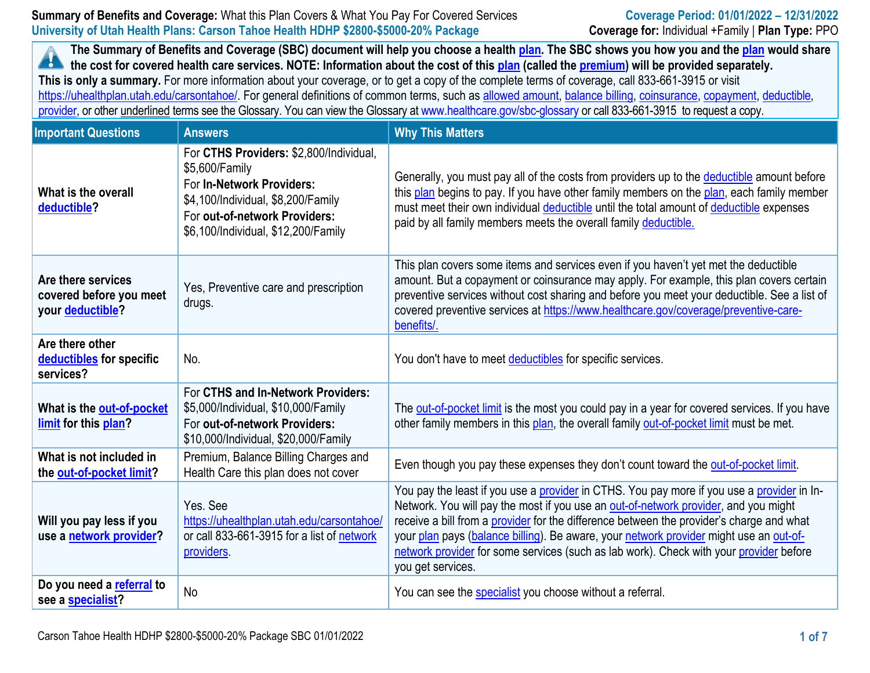**The Summary of Benefits and Coverage (SBC) document will help you choose a health [plan.](https://www.healthcare.gov/sbc-glossary/#plan) The SBC shows you how you and th[e plan](https://www.healthcare.gov/sbc-glossary/#plan) would share the cost for covered health care services. NOTE: Information about the cost of this [plan](https://www.healthcare.gov/sbc-glossary/#plan) (called the [premium\)](https://www.healthcare.gov/sbc-glossary/#premium) will be provided separately. This is only a summary.** For more information about your coverage, or to get a copy of the complete terms of coverage, call 833-661-3915 or visit https://uhealthplan.utah.edu/carsontahoe/. For general definitions of common terms, such as [allowed amount,](https://www.healthcare.gov/sbc-glossary/#allowed-amount) [balance billing,](https://www.healthcare.gov/sbc-glossary/#balance-billing) [coinsurance,](https://www.healthcare.gov/sbc-glossary/#coinsurance) [copayment,](https://www.healthcare.gov/sbc-glossary/#copayment) [deductible,](https://www.healthcare.gov/sbc-glossary/#deductible) [provider,](https://www.healthcare.gov/sbc-glossary/#provider) or other underlined terms see the Glossary. You can view the Glossary a[t www.healthcare.gov/sbc-glossary](https://www.healthcare.gov/sbc-glossary) or call 833-661-3915 to request a copy.

| <b>Important Questions</b>                                        | <b>Answers</b>                                                                                                                                                                                       | <b>Why This Matters</b>                                                                                                                                                                                                                                                                                                                                                                                                                                                                |
|-------------------------------------------------------------------|------------------------------------------------------------------------------------------------------------------------------------------------------------------------------------------------------|----------------------------------------------------------------------------------------------------------------------------------------------------------------------------------------------------------------------------------------------------------------------------------------------------------------------------------------------------------------------------------------------------------------------------------------------------------------------------------------|
| What is the overall<br>deductible?                                | For CTHS Providers: \$2,800/Individual,<br>\$5,600/Family<br>For In-Network Providers:<br>\$4,100/Individual, \$8,200/Family<br>For out-of-network Providers:<br>\$6,100/Individual, \$12,200/Family | Generally, you must pay all of the costs from providers up to the deductible amount before<br>this plan begins to pay. If you have other family members on the plan, each family member<br>must meet their own individual deductible until the total amount of deductible expenses<br>paid by all family members meets the overall family deductible.                                                                                                                                  |
| Are there services<br>covered before you meet<br>your deductible? | Yes, Preventive care and prescription<br>drugs.                                                                                                                                                      | This plan covers some items and services even if you haven't yet met the deductible<br>amount. But a copayment or coinsurance may apply. For example, this plan covers certain<br>preventive services without cost sharing and before you meet your deductible. See a list of<br>covered preventive services at https://www.healthcare.gov/coverage/preventive-care-<br>benefits/.                                                                                                     |
| Are there other<br>deductibles for specific<br>services?          | No.                                                                                                                                                                                                  | You don't have to meet deductibles for specific services.                                                                                                                                                                                                                                                                                                                                                                                                                              |
| What is the out-of-pocket<br>limit for this plan?                 | For CTHS and In-Network Providers:<br>\$5,000/Individual, \$10,000/Family<br>For out-of-network Providers:<br>\$10,000/Individual, \$20,000/Family                                                   | The out-of-pocket limit is the most you could pay in a year for covered services. If you have<br>other family members in this plan, the overall family out-of-pocket limit must be met.                                                                                                                                                                                                                                                                                                |
| What is not included in<br>the out-of-pocket limit?               | Premium, Balance Billing Charges and<br>Health Care this plan does not cover                                                                                                                         | Even though you pay these expenses they don't count toward the out-of-pocket limit.                                                                                                                                                                                                                                                                                                                                                                                                    |
| Will you pay less if you<br>use a network provider?               | Yes, See<br>https://uhealthplan.utah.edu/carsontahoe/<br>or call 833-661-3915 for a list of network<br>providers.                                                                                    | You pay the least if you use a provider in CTHS. You pay more if you use a provider in In-<br>Network. You will pay the most if you use an out-of-network provider, and you might<br>receive a bill from a provider for the difference between the provider's charge and what<br>your plan pays (balance billing). Be aware, your network provider might use an out-of-<br>network provider for some services (such as lab work). Check with your provider before<br>you get services. |
| Do you need a referral to<br>see a specialist?                    | No                                                                                                                                                                                                   | You can see the specialist you choose without a referral.                                                                                                                                                                                                                                                                                                                                                                                                                              |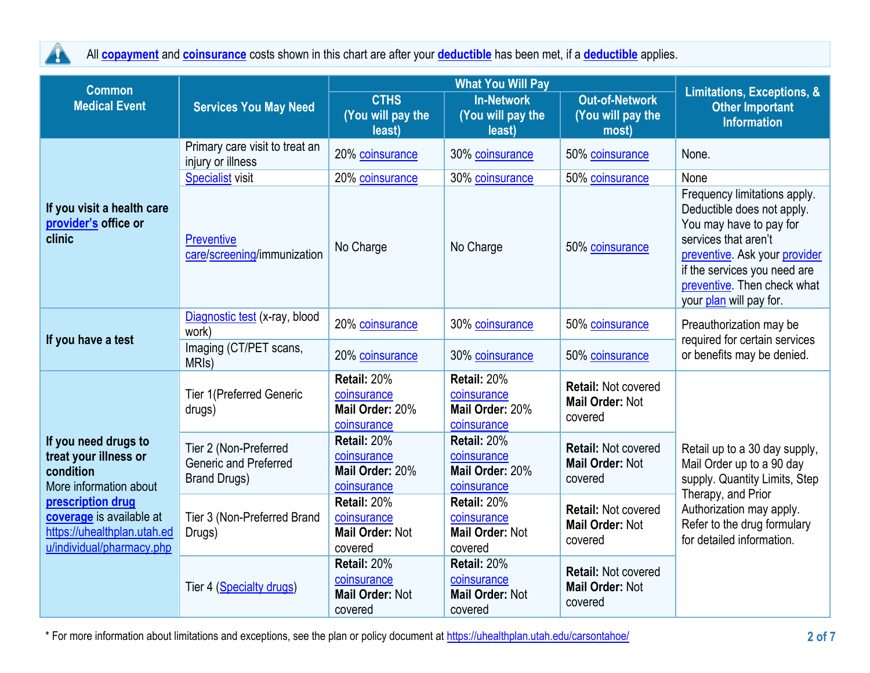

All **[copayment](https://www.healthcare.gov/sbc-glossary/#copayment)** and **[coinsurance](https://www.healthcare.gov/sbc-glossary/#coinsurance)** costs shown in this chart are after your **[deductible](https://www.healthcare.gov/sbc-glossary/#deductible)** has been met, if a **[deductible](https://www.healthcare.gov/sbc-glossary/#deductible)** applies.

| <b>Common</b>                                                                                                                                                                                     |                                                                              |                                                                 | Limitations, Exceptions, &                                      |                                                                 |                                                                                                                                                                                                                                          |  |
|---------------------------------------------------------------------------------------------------------------------------------------------------------------------------------------------------|------------------------------------------------------------------------------|-----------------------------------------------------------------|-----------------------------------------------------------------|-----------------------------------------------------------------|------------------------------------------------------------------------------------------------------------------------------------------------------------------------------------------------------------------------------------------|--|
| <b>Medical Event</b>                                                                                                                                                                              | <b>Services You May Need</b>                                                 | <b>CTHS</b><br>(You will pay the<br>least)                      | <b>In-Network</b><br>(You will pay the<br>least)                | <b>Out-of-Network</b><br>(You will pay the<br>most)             | <b>Other Important</b><br><b>Information</b>                                                                                                                                                                                             |  |
|                                                                                                                                                                                                   | Primary care visit to treat an<br>injury or illness                          | 20% coinsurance                                                 | 30% coinsurance                                                 | 50% coinsurance                                                 | None.                                                                                                                                                                                                                                    |  |
| If you visit a health care<br>provider's office or<br>clinic                                                                                                                                      | <b>Specialist visit</b>                                                      | 20% coinsurance                                                 | 30% coinsurance                                                 | 50% coinsurance                                                 | None                                                                                                                                                                                                                                     |  |
|                                                                                                                                                                                                   | <b>Preventive</b><br>care/screening/immunization                             | No Charge                                                       | No Charge                                                       | 50% coinsurance                                                 | Frequency limitations apply.<br>Deductible does not apply.<br>You may have to pay for<br>services that aren't<br>preventive. Ask your provider<br>if the services you need are<br>preventive. Then check what<br>your plan will pay for. |  |
| If you have a test                                                                                                                                                                                | Diagnostic test (x-ray, blood<br>work)                                       | 20% coinsurance                                                 | 30% coinsurance                                                 | 50% coinsurance                                                 | Preauthorization may be<br>required for certain services<br>or benefits may be denied.                                                                                                                                                   |  |
|                                                                                                                                                                                                   | Imaging (CT/PET scans,<br>MRI <sub>s</sub> )                                 | 20% coinsurance                                                 | 30% coinsurance                                                 | 50% coinsurance                                                 |                                                                                                                                                                                                                                          |  |
| If you need drugs to<br>treat your illness or<br>condition<br>More information about<br>prescription drug<br>coverage is available at<br>https://uhealthplan.utah.ed<br>u/individual/pharmacy.php | <b>Tier 1(Preferred Generic</b><br>drugs)                                    | Retail: 20%<br>coinsurance<br>Mail Order: 20%<br>coinsurance    | Retail: 20%<br>coinsurance<br>Mail Order: 20%<br>coinsurance    | <b>Retail: Not covered</b><br><b>Mail Order: Not</b><br>covered |                                                                                                                                                                                                                                          |  |
|                                                                                                                                                                                                   | Tier 2 (Non-Preferred<br><b>Generic and Preferred</b><br><b>Brand Drugs)</b> | Retail: 20%<br>coinsurance<br>Mail Order: 20%<br>coinsurance    | Retail: 20%<br>coinsurance<br>Mail Order: 20%<br>coinsurance    | <b>Retail: Not covered</b><br><b>Mail Order: Not</b><br>covered | Retail up to a 30 day supply,<br>Mail Order up to a 90 day<br>supply. Quantity Limits, Step                                                                                                                                              |  |
|                                                                                                                                                                                                   | Tier 3 (Non-Preferred Brand<br>Drugs)                                        | Retail: 20%<br>coinsurance<br><b>Mail Order: Not</b><br>covered | Retail: 20%<br>coinsurance<br><b>Mail Order: Not</b><br>covered | <b>Retail: Not covered</b><br><b>Mail Order: Not</b><br>covered | Therapy, and Prior<br>Authorization may apply.<br>Refer to the drug formulary<br>for detailed information.                                                                                                                               |  |
|                                                                                                                                                                                                   | Tier 4 (Specialty drugs)                                                     | Retail: 20%<br>coinsurance<br><b>Mail Order: Not</b><br>covered | Retail: 20%<br>coinsurance<br><b>Mail Order: Not</b><br>covered | <b>Retail: Not covered</b><br><b>Mail Order: Not</b><br>covered |                                                                                                                                                                                                                                          |  |

\* For more information about limitations and exceptions, see the plan or policy document at [https://uhealthplan.utah.edu/carsontahoe/](http://www.https/uhealthplan.utah.edu/carsontahoe/) **2 of 7**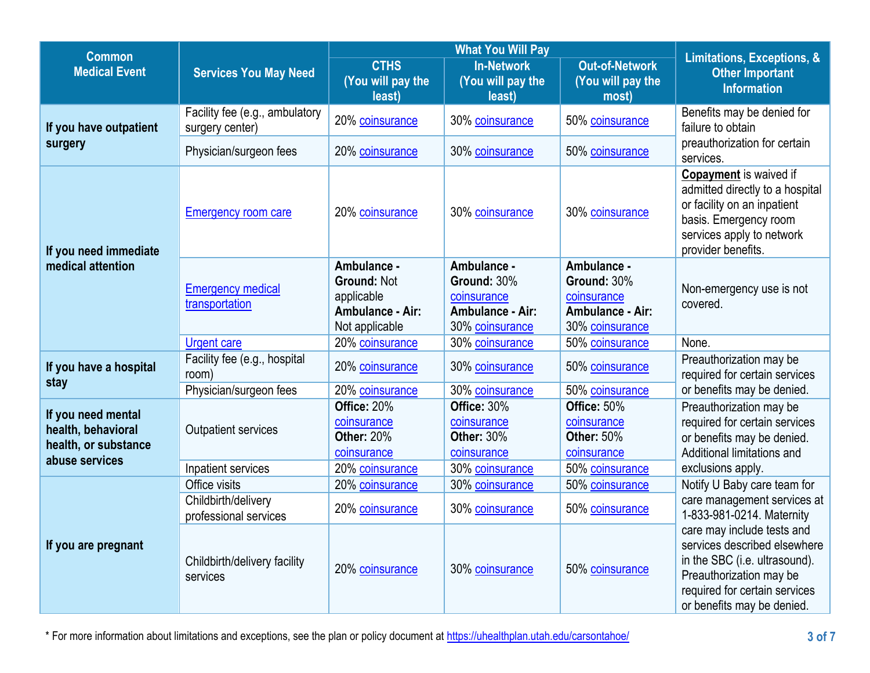| <b>Common</b>                                                                      |                                                   |                                                                                       | <b>What You Will Pay</b>                                                         |                                                                                  | <b>Limitations, Exceptions, &amp;</b>                                                                                                                                                 |
|------------------------------------------------------------------------------------|---------------------------------------------------|---------------------------------------------------------------------------------------|----------------------------------------------------------------------------------|----------------------------------------------------------------------------------|---------------------------------------------------------------------------------------------------------------------------------------------------------------------------------------|
| <b>Medical Event</b>                                                               | <b>Services You May Need</b>                      | <b>CTHS</b><br>(You will pay the<br>least)                                            | <b>In-Network</b><br>(You will pay the<br>least)                                 | <b>Out-of-Network</b><br>(You will pay the<br>most)                              | <b>Other Important</b><br><b>Information</b>                                                                                                                                          |
| If you have outpatient                                                             | Facility fee (e.g., ambulatory<br>surgery center) | 20% coinsurance                                                                       | 30% coinsurance                                                                  | 50% coinsurance                                                                  | Benefits may be denied for<br>failure to obtain                                                                                                                                       |
| surgery                                                                            | Physician/surgeon fees                            | 20% coinsurance                                                                       | 30% coinsurance                                                                  | 50% coinsurance                                                                  | preauthorization for certain<br>services.                                                                                                                                             |
| If you need immediate<br>medical attention                                         | <b>Emergency room care</b>                        | 20% coinsurance                                                                       | 30% coinsurance                                                                  | 30% coinsurance                                                                  | <b>Copayment</b> is waived if<br>admitted directly to a hospital<br>or facility on an inpatient<br>basis. Emergency room<br>services apply to network<br>provider benefits.           |
|                                                                                    | <b>Emergency medical</b><br>transportation        | Ambulance -<br><b>Ground: Not</b><br>applicable<br>Ambulance - Air:<br>Not applicable | Ambulance -<br>Ground: 30%<br>coinsurance<br>Ambulance - Air:<br>30% coinsurance | Ambulance -<br>Ground: 30%<br>coinsurance<br>Ambulance - Air:<br>30% coinsurance | Non-emergency use is not<br>covered.                                                                                                                                                  |
|                                                                                    | <b>Urgent care</b>                                | 20% coinsurance                                                                       | 30% coinsurance                                                                  | 50% coinsurance                                                                  | None.                                                                                                                                                                                 |
| If you have a hospital<br>stay                                                     | Facility fee (e.g., hospital<br>room)             | 20% coinsurance                                                                       | 30% coinsurance                                                                  | 50% coinsurance                                                                  | Preauthorization may be<br>required for certain services                                                                                                                              |
|                                                                                    | Physician/surgeon fees                            | 20% coinsurance                                                                       | 30% coinsurance                                                                  | 50% coinsurance                                                                  | or benefits may be denied.                                                                                                                                                            |
| If you need mental<br>health, behavioral<br>health, or substance<br>abuse services | <b>Outpatient services</b>                        | Office: 20%<br>coinsurance<br><b>Other: 20%</b><br>coinsurance                        | Office: 30%<br>coinsurance<br><b>Other: 30%</b><br>coinsurance                   | Office: 50%<br>coinsurance<br><b>Other: 50%</b><br>coinsurance                   | Preauthorization may be<br>required for certain services<br>or benefits may be denied.<br>Additional limitations and                                                                  |
|                                                                                    | Inpatient services                                | 20% coinsurance                                                                       | 30% coinsurance                                                                  | 50% coinsurance                                                                  | exclusions apply.                                                                                                                                                                     |
|                                                                                    | Office visits                                     | 20% coinsurance                                                                       | 30% coinsurance                                                                  | 50% coinsurance                                                                  | Notify U Baby care team for                                                                                                                                                           |
| If you are pregnant                                                                | Childbirth/delivery<br>professional services      | 20% coinsurance                                                                       | 30% coinsurance                                                                  | 50% coinsurance                                                                  | care management services at<br>1-833-981-0214. Maternity                                                                                                                              |
|                                                                                    | Childbirth/delivery facility<br>services          | 20% coinsurance                                                                       | 30% coinsurance                                                                  | 50% coinsurance                                                                  | care may include tests and<br>services described elsewhere<br>in the SBC (i.e. ultrasound).<br>Preauthorization may be<br>required for certain services<br>or benefits may be denied. |

\* For more information about limitations and exceptions, see the plan or policy document at [https://uhealthplan.utah.edu/carsontahoe/](http://www.https/uhealthplan.utah.edu/carsontahoe/) **3 of 7**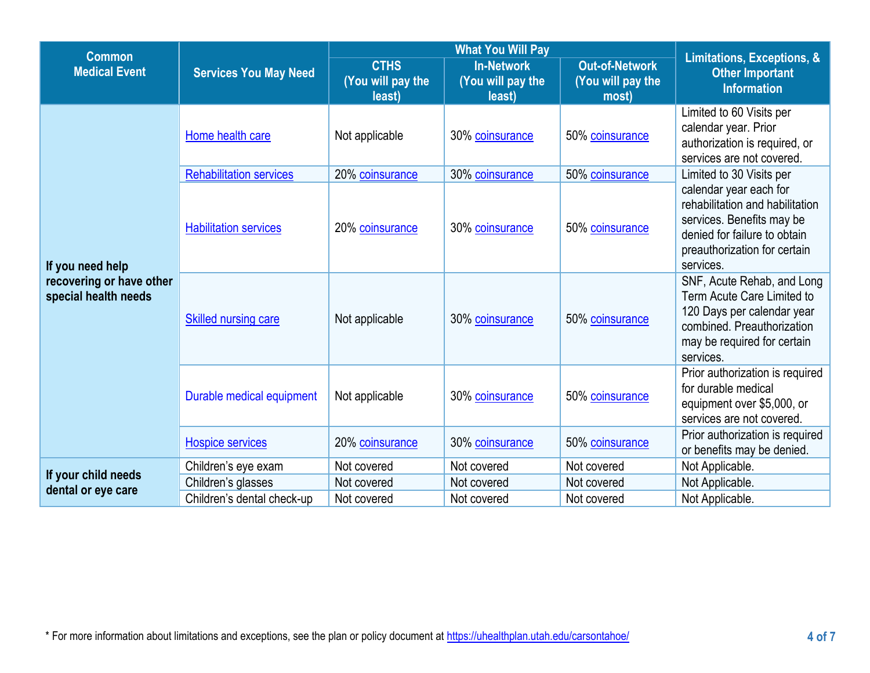| <b>Common</b>                                                        |                                |                                            |                                                  |                                                     |                                                                                                                                                                     |
|----------------------------------------------------------------------|--------------------------------|--------------------------------------------|--------------------------------------------------|-----------------------------------------------------|---------------------------------------------------------------------------------------------------------------------------------------------------------------------|
| <b>Medical Event</b>                                                 | <b>Services You May Need</b>   | <b>CTHS</b><br>(You will pay the<br>least) | <b>In-Network</b><br>(You will pay the<br>least) | <b>Out-of-Network</b><br>(You will pay the<br>most) | Limitations, Exceptions, &<br><b>Other Important</b><br><b>Information</b>                                                                                          |
|                                                                      | Home health care               | Not applicable                             | 30% coinsurance                                  | 50% coinsurance                                     | Limited to 60 Visits per<br>calendar year. Prior<br>authorization is required, or<br>services are not covered.                                                      |
|                                                                      | <b>Rehabilitation services</b> | 20% coinsurance                            | 30% coinsurance                                  | 50% coinsurance                                     | Limited to 30 Visits per                                                                                                                                            |
| If you need help<br>recovering or have other<br>special health needs | <b>Habilitation services</b>   | 20% coinsurance                            | 30% coinsurance                                  | 50% coinsurance                                     | calendar year each for<br>rehabilitation and habilitation<br>services. Benefits may be<br>denied for failure to obtain<br>preauthorization for certain<br>services. |
|                                                                      | Skilled nursing care           | Not applicable                             | 30% coinsurance                                  | 50% coinsurance                                     | SNF, Acute Rehab, and Long<br>Term Acute Care Limited to<br>120 Days per calendar year<br>combined. Preauthorization<br>may be required for certain<br>services.    |
|                                                                      | Durable medical equipment      | Not applicable                             | 30% coinsurance                                  | 50% coinsurance                                     | Prior authorization is required<br>for durable medical<br>equipment over \$5,000, or<br>services are not covered.                                                   |
|                                                                      | <b>Hospice services</b>        | 20% coinsurance                            | 30% coinsurance                                  | 50% coinsurance                                     | Prior authorization is required<br>or benefits may be denied.                                                                                                       |
|                                                                      | Children's eye exam            | Not covered                                | Not covered                                      | Not covered                                         | Not Applicable.                                                                                                                                                     |
| If your child needs<br>dental or eye care                            | Children's glasses             | Not covered                                | Not covered                                      | Not covered                                         | Not Applicable.                                                                                                                                                     |
|                                                                      | Children's dental check-up     | Not covered                                | Not covered                                      | Not covered                                         | Not Applicable.                                                                                                                                                     |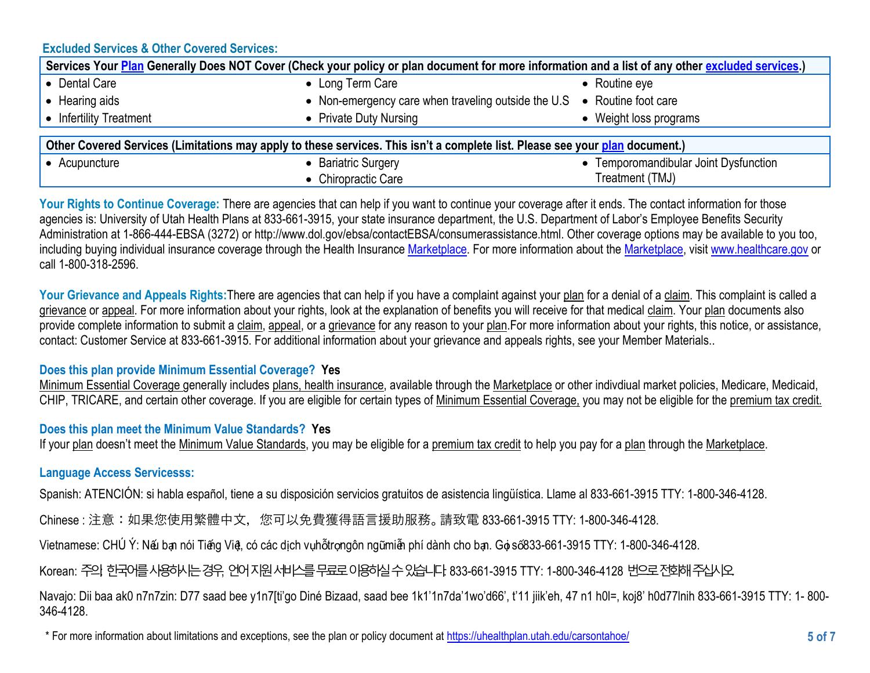# **Excluded Services & Other Covered Services:**

| Services Your Plan Generally Does NOT Cover (Check your policy or plan document for more information and a list of any other excluded services.) |                                                                         |                                     |  |  |
|--------------------------------------------------------------------------------------------------------------------------------------------------|-------------------------------------------------------------------------|-------------------------------------|--|--|
| • Dental Care                                                                                                                                    | • Long Term Care                                                        | $\bullet$ Routine eye               |  |  |
| • Hearing aids                                                                                                                                   | • Non-emergency care when traveling outside the U.S • Routine foot care |                                     |  |  |
| • Infertility Treatment                                                                                                                          | • Private Duty Nursing                                                  | • Weight loss programs              |  |  |
|                                                                                                                                                  |                                                                         |                                     |  |  |
| Other Covered Services (Limitations may apply to these services. This isn't a complete list. Please see your plan document.)                     |                                                                         |                                     |  |  |
| • Acupuncture                                                                                                                                    | • Bariatric Surgery                                                     | Temporomandibular Joint Dysfunction |  |  |
|                                                                                                                                                  | • Chiropractic Care                                                     | Treatment (TMJ)                     |  |  |

Your Rights to Continue Coverage: There are agencies that can help if you want to continue your coverage after it ends. The contact information for those agencies is: University of Utah Health Plans at 833-661-3915, your state insurance department, the U.S. Department of Labor's Employee Benefits Security Administration at 1-866-444-EBSA (3272) or http://www.dol.gov/ebsa/contactEBSA/consumerassistance.html. Other coverage options may be available to you too, including buying individual insurance coverage through the Health Insurance [Marketplace.](https://www.healthcare.gov/sbc-glossary/#marketplace) For more information about the [Marketplace,](https://www.healthcare.gov/sbc-glossary/#marketplace) visit [www.healthcare.gov](http://www.healthcare.gov/) or call 1-800-318-2596.

Your Grievance and Appeals Rights: There are agencies that can help if you have a complaint against your plan for a denial of a claim. This complaint is called a grievance or appeal. For more information about your rights, look at the explanation of benefits you will receive for that medical claim. Your plan documents also provide complete information to submit a claim, appeal, or a grievance for any reason to your plan.For more information about your rights, this notice, or assistance, contact: Customer Service at 833-661-3915. For additional information about your grievance and appeals rights, see your Member Materials..

# **Does this plan provide Minimum Essential Coverage? Yes**

Minimum Essential Coverage generally includes plans, health insurance, available through the Marketplace or other indivdiual market policies, Medicare, Medicaid, CHIP, TRICARE, and certain other coverage. If you are eligible for certain types of Minimum Essential Coverage, you may not be eligible for the premium tax credit.

### **Does this plan meet the Minimum Value Standards? Yes**

If your [plan](https://www.healthcare.gov/sbc-glossary/#plan) doesn't meet the [Minimum Value Standards,](https://www.healthcare.gov/sbc-glossary/#minimum-value-standard) you may be eligible for a [premium](https://www.healthcare.gov/sbc-glossary/#premium-tax-credits) tax credit to help you pay for a [plan](https://www.healthcare.gov/sbc-glossary/#plan) through the [Marketplace.](https://www.healthcare.gov/sbc-glossary/#marketplace)

# **Language Access Servicesss:**

Spanish: ATENCIÓN: si habla español, tiene a su disposición servicios gratuitos de asistencia lingüística. Llame al 833-661-3915 TTY: 1-800-346-4128.

Chinese: 注意: 如果您使用繁體中文, 您可以免費獲得語言援助服務。 請致電 833-661-3915 TTY: 1-800-346-4128.

Vietnamese: CHÚ Ý: Nếu bạn nói Tiếng Việt, có các dịch vụhỗtrọngôn ngữmiễn phí dành cho bạn. Gọi số833-661-3915 TTY: 1-800-346-4128.

# Korean: 주의 한국어를 사용하시는 경우, 언어지워 서비스를 무료로 이용하실 수 있습니다. 833-661-3915 TTY: 1-800-346-4128 번으로 전화해 주십시오.

Navajo: Dii baa ak0 n7n7zin: D77 saad bee y1n7[ti'go Diné Bizaad, saad bee 1k1'1n7da'1wo'd66', t'11 jiik'eh, 47 n1 h0l=, koj8' h0d77lnih 833-661-3915 TTY: 1- 800- 346-4128.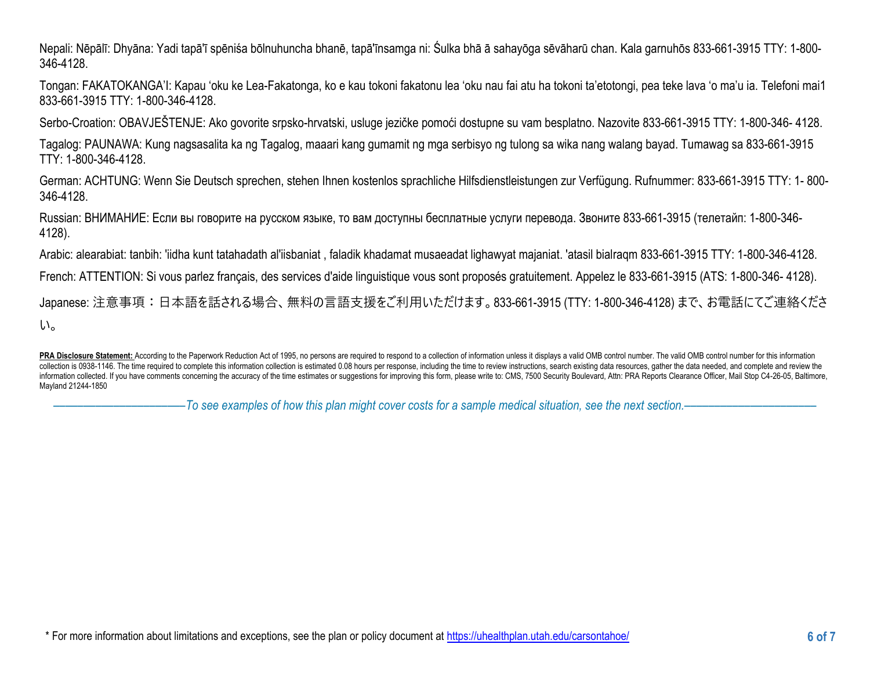Nepali: Nēpālī: Dhyāna: Yadi tapā'ī spēniśa bōlnuhuncha bhanē, tapā'īnsamga ni: Śulka bhā ā sahayōga sēvāharū chan. Kala garnuhōs 833-661-3915 TTY: 1-800- 346-4128.

Tongan: FAKATOKANGA'I: Kapau 'oku ke Lea-Fakatonga, ko e kau tokoni fakatonu lea 'oku nau fai atu ha tokoni ta'etotongi, pea teke lava 'o ma'u ia. Telefoni mai1 833-661-3915 TTY: 1-800-346-4128.

Serbo-Croation: OBAVJEŠTENJE: Ako govorite srpsko-hrvatski, usluge jezičke pomoći dostupne su vam besplatno. Nazovite 833-661-3915 TTY: 1-800-346- 4128.

Tagalog: PAUNAWA: Kung nagsasalita ka ng Tagalog, maaari kang gumamit ng mga serbisyo ng tulong sa wika nang walang bayad. Tumawag sa 833-661-3915 TTY: 1-800-346-4128.

German: ACHTUNG: Wenn Sie Deutsch sprechen, stehen Ihnen kostenlos sprachliche Hilfsdienstleistungen zur Verfügung. Rufnummer: 833-661-3915 TTY: 1- 800- 346-4128.

Russian: ВНИМАНИЕ: Если вы говорите на русском языке, то вам доступны бесплатные услуги перевода. Звоните 833-661-3915 (телетайп: 1-800-346- 4128).

Arabic: alearabiat: tanbih: 'iidha kunt tatahadath al'iisbaniat , faladik khadamat musaeadat lighawyat majaniat. 'atasil bialraqm 833-661-3915 TTY: 1-800-346-4128.

French: ATTENTION: Si vous parlez français, des services d'aide linguistique vous sont proposés gratuitement. Appelez le 833-661-3915 (ATS: 1-800-346- 4128).

Japanese: 注意事項:日本語を話される場合、無料の言語支援をご利用いただけます。833-661-3915 (TTY: 1-800-346-4128) まで、お電話にてご連絡くださ い。

––––––––––––––––––––––*To see examples of how this plan might cover costs for a sample medical situation, see the next section.–––––––––––*–––––––––––

PRA Disclosure Statement: According to the Paperwork Reduction Act of 1995, no persons are required to respond to a collection of information unless it displays a valid OMB control number. The valid OMB control number for collection is 0938-1146. The time required to complete this information collection is estimated 0.08 hours per response, including the time to review instructions, search existing data resources, gather the data needed, an information collected. If you have comments concerning the accuracy of the time estimates or suggestions for improving this form, please write to: CMS, 7500 Security Boulevard, Attn: PRA Reports Clearance Officer, Mail Sto Mayland 21244-1850